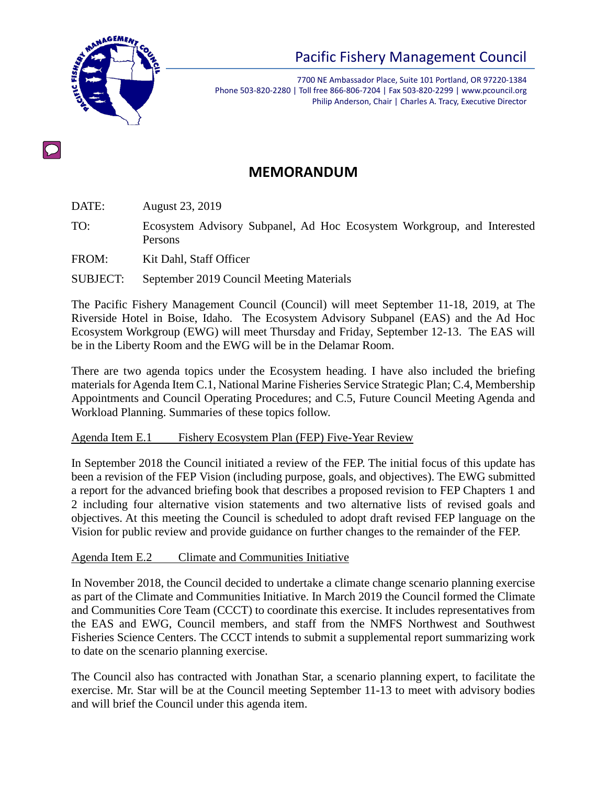

7700 NE Ambassador Place, Suite 101 Portland, OR 97220-1384 Phone 503-820-2280 | Toll free 866-806-7204 | Fax 503-820-2299 | www.pcouncil.org Philip Anderson, Chair | Charles A. Tracy, Executive Director

# **MEMORANDUM**

DATE: August 23, 2019

TO: Ecosystem Advisory Subpanel, Ad Hoc Ecosystem Workgroup, and Interested Persons

FROM: Kit Dahl, Staff Officer

SUBJECT: September 2019 Council Meeting Materials

The Pacific Fishery Management Council (Council) will meet September 11-18, 2019, at The Riverside Hotel in Boise, Idaho. The Ecosystem Advisory Subpanel (EAS) and the Ad Hoc Ecosystem Workgroup (EWG) will meet Thursday and Friday, September 12-13. The EAS will be in the Liberty Room and the EWG will be in the Delamar Room.

There are two agenda topics under the Ecosystem heading. I have also included the briefing materials for Agenda Item C.1, National Marine Fisheries Service Strategic Plan; C.4, Membership Appointments and Council Operating Procedures; and C.5, Future Council Meeting Agenda and Workload Planning. Summaries of these topics follow.

#### Agenda Item E.1 Fishery Ecosystem Plan (FEP) Five-Year Review

In September 2018 the Council initiated a review of the FEP. The initial focus of this update has been a revision of the FEP Vision (including purpose, goals, and objectives). The EWG submitted a report for the advanced briefing book that describes a proposed revision to FEP Chapters 1 and 2 including four alternative vision statements and two alternative lists of revised goals and objectives. At this meeting the Council is scheduled to adopt draft revised FEP language on the Vision for public review and provide guidance on further changes to the remainder of the FEP.

#### Agenda Item E.2 Climate and Communities Initiative

In November 2018, the Council decided to undertake a climate change scenario planning exercise as part of the Climate and Communities Initiative. In March 2019 the Council formed the Climate and Communities Core Team (CCCT) to coordinate this exercise. It includes representatives from the EAS and EWG, Council members, and staff from the NMFS Northwest and Southwest Fisheries Science Centers. The CCCT intends to submit a supplemental report summarizing work to date on the scenario planning exercise.

The Council also has contracted with Jonathan Star, a scenario planning expert, to facilitate the exercise. Mr. Star will be at the Council meeting September 11-13 to meet with advisory bodies and will brief the Council under this agenda item.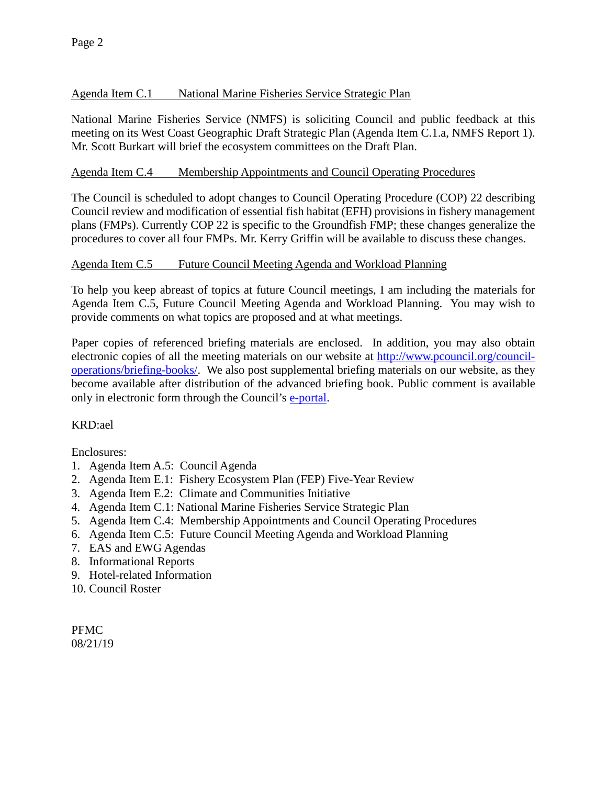### Agenda Item C.1 National Marine Fisheries Service Strategic Plan

National Marine Fisheries Service (NMFS) is soliciting Council and public feedback at this meeting on its West Coast Geographic Draft Strategic Plan (Agenda Item C.1.a, NMFS Report 1). Mr. Scott Burkart will brief the ecosystem committees on the Draft Plan.

#### Agenda Item C.4 Membership Appointments and Council Operating Procedures

The Council is scheduled to adopt changes to Council Operating Procedure (COP) 22 describing Council review and modification of essential fish habitat (EFH) provisions in fishery management plans (FMPs). Currently COP 22 is specific to the Groundfish FMP; these changes generalize the procedures to cover all four FMPs. Mr. Kerry Griffin will be available to discuss these changes.

#### Agenda Item C.5 Future Council Meeting Agenda and Workload Planning

To help you keep abreast of topics at future Council meetings, I am including the materials for Agenda Item C.5, Future Council Meeting Agenda and Workload Planning. You may wish to provide comments on what topics are proposed and at what meetings.

Paper copies of referenced briefing materials are enclosed. In addition, you may also obtain electronic copies of all the meeting materials on our website at [http://www.pcouncil.org/council](http://www.pcouncil.org/council-operations/briefing-books/)[operations/briefing-books/.](http://www.pcouncil.org/council-operations/briefing-books/) We also post supplemental briefing materials on our website, as they become available after distribution of the advanced briefing book. Public comment is available only in electronic form through the Council's [e-portal.](https://pfmc.psmfc.org/)

#### KRD:ael

Enclosures:

- 1. Agenda Item A.5: Council Agenda
- 2. Agenda Item E.1: Fishery Ecosystem Plan (FEP) Five-Year Review
- 3. Agenda Item E.2: Climate and Communities Initiative
- 4. Agenda Item C.1: National Marine Fisheries Service Strategic Plan
- 5. Agenda Item C.4: Membership Appointments and Council Operating Procedures
- 6. Agenda Item C.5: Future Council Meeting Agenda and Workload Planning
- 7. EAS and EWG Agendas
- 8. Informational Reports
- 9. Hotel-related Information
- 10. Council Roster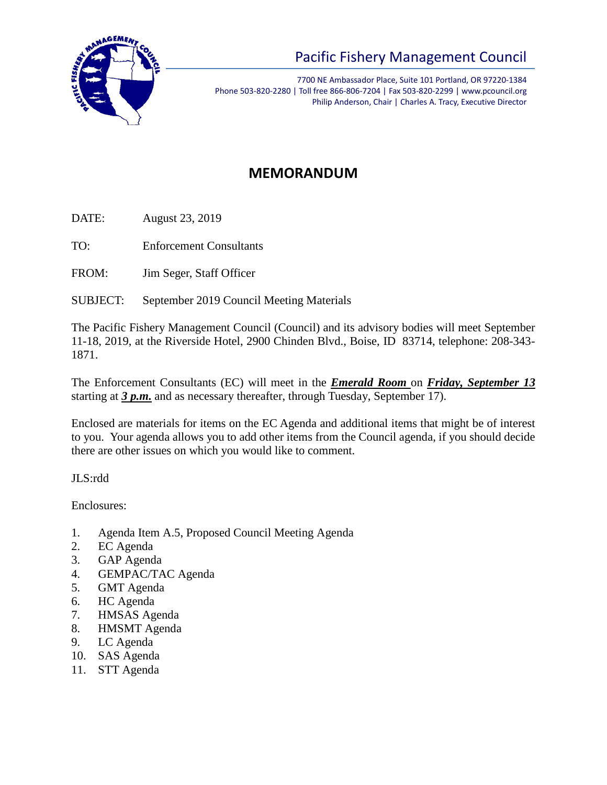

7700 NE Ambassador Place, Suite 101 Portland, OR 97220-1384 Phone 503-820-2280 | Toll free 866-806-7204 | Fax 503-820-2299 | www.pcouncil.org Philip Anderson, Chair | Charles A. Tracy, Executive Director

# **MEMORANDUM**

DATE: August 23, 2019

TO: Enforcement Consultants

FROM: Jim Seger, Staff Officer

SUBJECT: September 2019 Council Meeting Materials

The Pacific Fishery Management Council (Council) and its advisory bodies will meet September 11-18, 2019, at the Riverside Hotel, 2900 Chinden Blvd., Boise, ID 83714, telephone: 208-343- 1871.

The Enforcement Consultants (EC) will meet in the *Emerald Room* on *Friday, September 13* starting at *3 p.m.* and as necessary thereafter, through Tuesday, September 17).

Enclosed are materials for items on the EC Agenda and additional items that might be of interest to you. Your agenda allows you to add other items from the Council agenda, if you should decide there are other issues on which you would like to comment.

JLS:rdd

Enclosures:

- 1. Agenda Item A.5, Proposed Council Meeting Agenda
- 2. EC Agenda
- 3. GAP Agenda
- 4. GEMPAC/TAC Agenda
- 5. GMT Agenda
- 6. HC Agenda
- 7. HMSAS Agenda
- 8. HMSMT Agenda
- 9. LC Agenda
- 10. SAS Agenda
- 11. STT Agenda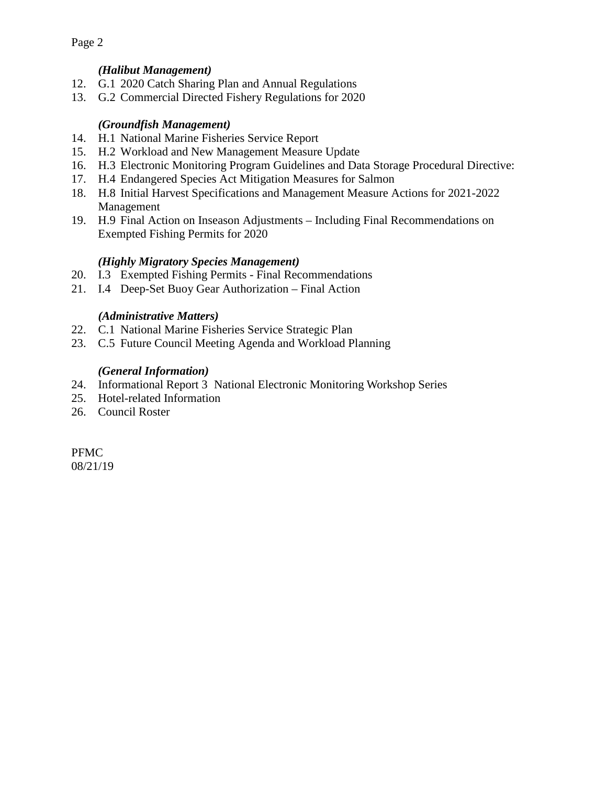### *(Halibut Management)*

- 12. G.1 2020 Catch Sharing Plan and Annual Regulations
- 13. G.2 Commercial Directed Fishery Regulations for 2020

### *(Groundfish Management)*

- 14. H.1 National Marine Fisheries Service Report
- 15. H.2 Workload and New Management Measure Update
- 16. H.3 Electronic Monitoring Program Guidelines and Data Storage Procedural Directive:
- 17. H.4 Endangered Species Act Mitigation Measures for Salmon
- 18. H.8 Initial Harvest Specifications and Management Measure Actions for 2021-2022 Management
- 19. H.9 Final Action on Inseason Adjustments Including Final Recommendations on Exempted Fishing Permits for 2020

### *(Highly Migratory Species Management)*

- 20. I.3 Exempted Fishing Permits Final Recommendations
- 21. I.4 Deep-Set Buoy Gear Authorization Final Action

### *(Administrative Matters)*

- 22. C.1 National Marine Fisheries Service Strategic Plan
- 23. C.5 Future Council Meeting Agenda and Workload Planning

## *(General Information)*

- 24. Informational Report 3 National Electronic Monitoring Workshop Series
- 25. Hotel-related Information
- 26. Council Roster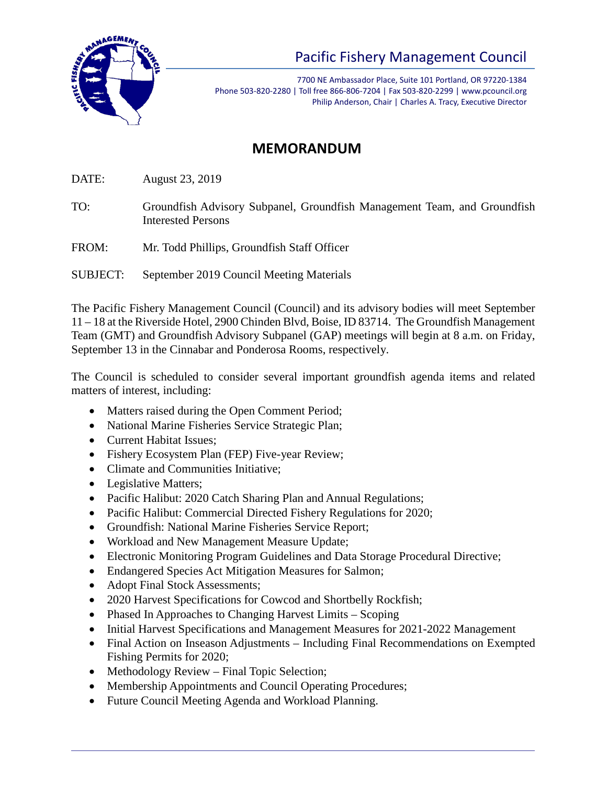

7700 NE Ambassador Place, Suite 101 Portland, OR 97220-1384 Phone 503-820-2280 | Toll free 866-806-7204 | Fax 503-820-2299 | www.pcouncil.org Philip Anderson, Chair | Charles A. Tracy, Executive Director

# **MEMORANDUM**

DATE: August 23, 2019

TO: Groundfish Advisory Subpanel, Groundfish Management Team, and Groundfish Interested Persons

FROM: Mr. Todd Phillips, Groundfish Staff Officer

SUBJECT: September 2019 Council Meeting Materials

The Pacific Fishery Management Council (Council) and its advisory bodies will meet September 11 – 18 at the Riverside Hotel, 2900 Chinden Blvd, Boise, ID 83714. The Groundfish Management Team (GMT) and Groundfish Advisory Subpanel (GAP) meetings will begin at 8 a.m. on Friday, September 13 in the Cinnabar and Ponderosa Rooms, respectively.

The Council is scheduled to consider several important groundfish agenda items and related matters of interest, including:

- Matters raised during the Open Comment Period;
- National Marine Fisheries Service Strategic Plan;
- Current Habitat Issues:
- Fishery Ecosystem Plan (FEP) Five-year Review;
- Climate and Communities Initiative;
- Legislative Matters;
- Pacific Halibut: 2020 Catch Sharing Plan and Annual Regulations;
- Pacific Halibut: Commercial Directed Fishery Regulations for 2020;
- Groundfish: National Marine Fisheries Service Report;
- Workload and New Management Measure Update;
- Electronic Monitoring Program Guidelines and Data Storage Procedural Directive;
- Endangered Species Act Mitigation Measures for Salmon;
- Adopt Final Stock Assessments;
- 2020 Harvest Specifications for Cowcod and Shortbelly Rockfish;
- Phased In Approaches to Changing Harvest Limits Scoping
- Initial Harvest Specifications and Management Measures for 2021-2022 Management
- Final Action on Inseason Adjustments Including Final Recommendations on Exempted Fishing Permits for 2020;
- Methodology Review Final Topic Selection;
- Membership Appointments and Council Operating Procedures;
- Future Council Meeting Agenda and Workload Planning.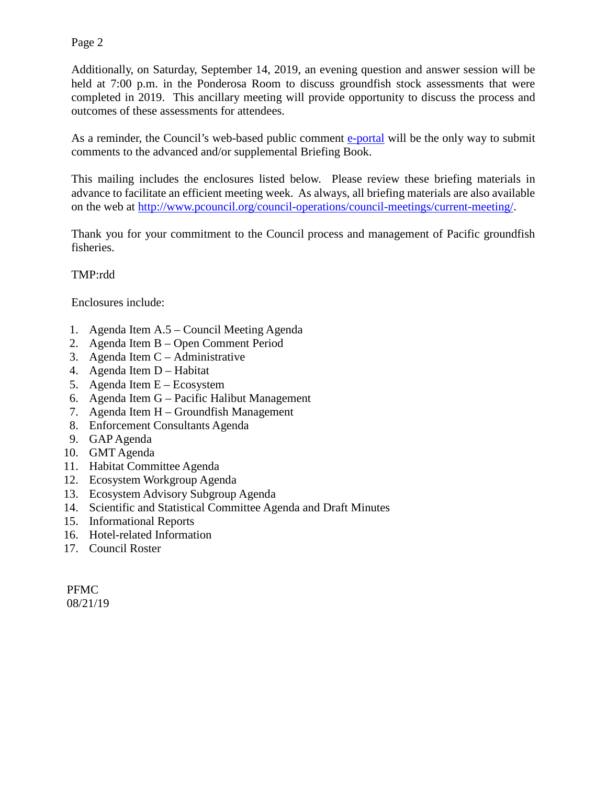Additionally, on Saturday, September 14, 2019, an evening question and answer session will be held at 7:00 p.m. in the Ponderosa Room to discuss groundfish stock assessments that were completed in 2019. This ancillary meeting will provide opportunity to discuss the process and outcomes of these assessments for attendees.

As a reminder, the Council's web-based public comment [e-portal](https://www.pcouncil.org/2018/10/55989/council-announces-new-comment-e-portal/) will be the only way to submit comments to the advanced and/or supplemental Briefing Book.

This mailing includes the enclosures listed below. Please review these briefing materials in advance to facilitate an efficient meeting week. As always, all briefing materials are also available on the web at [http://www.pcouncil.org/council-operations/council-meetings/current-meeting/.](http://www.pcouncil.org/council-operations/council-meetings/current-meeting/)

Thank you for your commitment to the Council process and management of Pacific groundfish fisheries.

### TMP:rdd

Enclosures include:

- 1. Agenda Item A.5 Council Meeting Agenda
- 2. Agenda Item B Open Comment Period
- 3. Agenda Item C Administrative
- 4. Agenda Item D Habitat
- 5. Agenda Item E Ecosystem
- 6. Agenda Item G Pacific Halibut Management
- 7. Agenda Item H Groundfish Management
- 8. Enforcement Consultants Agenda
- 9. GAP Agenda
- 10. GMT Agenda
- 11. Habitat Committee Agenda
- 12. Ecosystem Workgroup Agenda
- 13. Ecosystem Advisory Subgroup Agenda
- 14. Scientific and Statistical Committee Agenda and Draft Minutes
- 15. Informational Reports
- 16. Hotel-related Information
- 17. Council Roster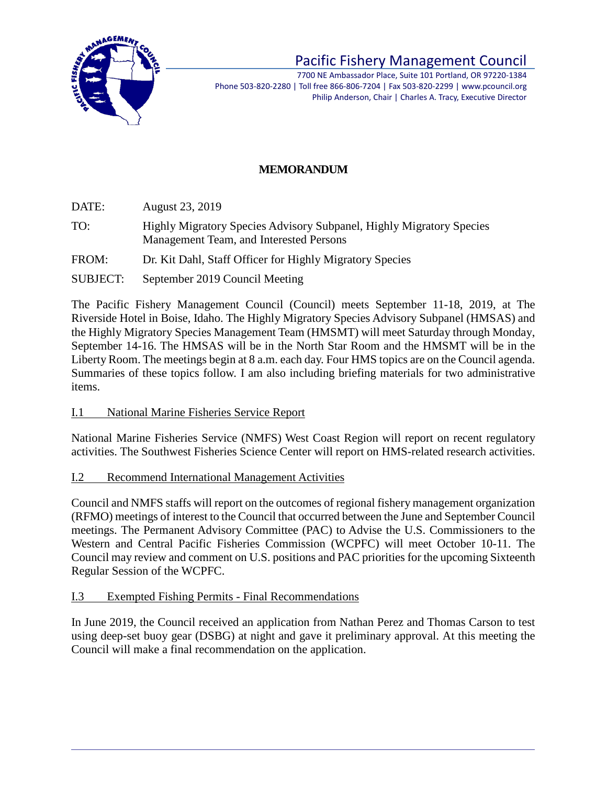

7700 NE Ambassador Place, Suite 101 Portland, OR 97220-1384 Phone 503-820-2280 | Toll free 866-806-7204 | Fax 503-820-2299 | www.pcouncil.org Philip Anderson, Chair | Charles A. Tracy, Executive Director

## **MEMORANDUM**

DATE: August 23, 2019

- TO: Highly Migratory Species Advisory Subpanel, Highly Migratory Species Management Team, and Interested Persons
- FROM: Dr. Kit Dahl, Staff Officer for Highly Migratory Species
- SUBJECT: September 2019 Council Meeting

The Pacific Fishery Management Council (Council) meets September 11-18, 2019, at The Riverside Hotel in Boise, Idaho. The Highly Migratory Species Advisory Subpanel (HMSAS) and the Highly Migratory Species Management Team (HMSMT) will meet Saturday through Monday, September 14-16. The HMSAS will be in the North Star Room and the HMSMT will be in the Liberty Room. The meetings begin at 8 a.m. each day. Four HMS topics are on the Council agenda. Summaries of these topics follow. I am also including briefing materials for two administrative items.

I.1 National Marine Fisheries Service Report

National Marine Fisheries Service (NMFS) West Coast Region will report on recent regulatory activities. The Southwest Fisheries Science Center will report on HMS-related research activities.

I.2 Recommend International Management Activities

Council and NMFS staffs will report on the outcomes of regional fishery management organization (RFMO) meetings of interest to the Council that occurred between the June and September Council meetings. The Permanent Advisory Committee (PAC) to Advise the U.S. Commissioners to the Western and Central Pacific Fisheries Commission (WCPFC) will meet October 10-11. The Council may review and comment on U.S. positions and PAC priorities for the upcoming Sixteenth Regular Session of the WCPFC.

#### I.3 Exempted Fishing Permits - Final Recommendations

In June 2019, the Council received an application from Nathan Perez and Thomas Carson to test using deep-set buoy gear (DSBG) at night and gave it preliminary approval. At this meeting the Council will make a final recommendation on the application.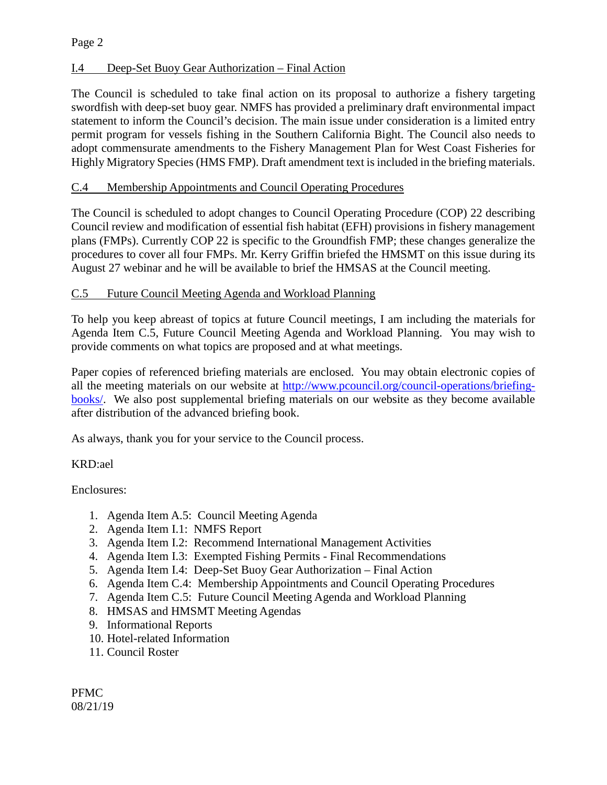### I.4 Deep-Set Buoy Gear Authorization – Final Action

The Council is scheduled to take final action on its proposal to authorize a fishery targeting swordfish with deep-set buoy gear. NMFS has provided a preliminary draft environmental impact statement to inform the Council's decision. The main issue under consideration is a limited entry permit program for vessels fishing in the Southern California Bight. The Council also needs to adopt commensurate amendments to the Fishery Management Plan for West Coast Fisheries for Highly Migratory Species (HMS FMP). Draft amendment text is included in the briefing materials.

### C.4 Membership Appointments and Council Operating Procedures

The Council is scheduled to adopt changes to Council Operating Procedure (COP) 22 describing Council review and modification of essential fish habitat (EFH) provisions in fishery management plans (FMPs). Currently COP 22 is specific to the Groundfish FMP; these changes generalize the procedures to cover all four FMPs. Mr. Kerry Griffin briefed the HMSMT on this issue during its August 27 webinar and he will be available to brief the HMSAS at the Council meeting.

#### C.5 Future Council Meeting Agenda and Workload Planning

To help you keep abreast of topics at future Council meetings, I am including the materials for Agenda Item C.5, Future Council Meeting Agenda and Workload Planning. You may wish to provide comments on what topics are proposed and at what meetings.

Paper copies of referenced briefing materials are enclosed. You may obtain electronic copies of all the meeting materials on our website at [http://www.pcouncil.org/council-operations/briefing](http://www.pcouncil.org/council-operations/briefing-books/)[books/.](http://www.pcouncil.org/council-operations/briefing-books/) We also post supplemental briefing materials on our website as they become available after distribution of the advanced briefing book.

As always, thank you for your service to the Council process.

#### KRD:ael

Enclosures:

- 1. Agenda Item A.5: Council Meeting Agenda
- 2. Agenda Item I.1: NMFS Report
- 3. Agenda Item I.2: Recommend International Management Activities
- 4. Agenda Item I.3: Exempted Fishing Permits Final Recommendations
- 5. Agenda Item I.4: Deep-Set Buoy Gear Authorization Final Action
- 6. Agenda Item C.4: Membership Appointments and Council Operating Procedures
- 7. Agenda Item C.5: Future Council Meeting Agenda and Workload Planning
- 8. HMSAS and HMSMT Meeting Agendas
- 9. Informational Reports
- 10. Hotel-related Information
- 11. Council Roster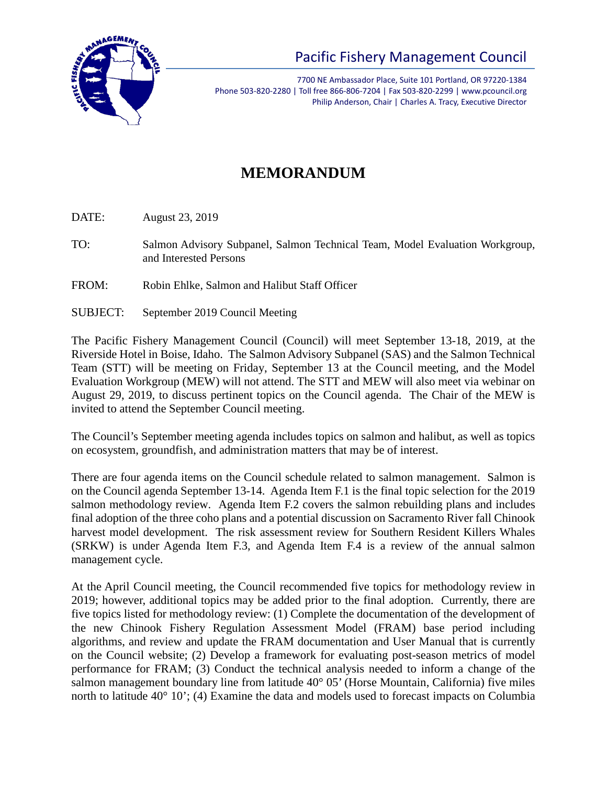

7700 NE Ambassador Place, Suite 101 Portland, OR 97220-1384 Phone 503-820-2280 | Toll free 866-806-7204 | Fax 503-820-2299 | www.pcouncil.org Philip Anderson, Chair | Charles A. Tracy, Executive Director

# **MEMORANDUM**

DATE: August 23, 2019

TO: Salmon Advisory Subpanel, Salmon Technical Team, Model Evaluation Workgroup, and Interested Persons

- FROM: Robin Ehlke, Salmon and Halibut Staff Officer
- SUBJECT: September 2019 Council Meeting

The Pacific Fishery Management Council (Council) will meet September 13-18, 2019, at the Riverside Hotel in Boise, Idaho. The Salmon Advisory Subpanel (SAS) and the Salmon Technical Team (STT) will be meeting on Friday, September 13 at the Council meeting, and the Model Evaluation Workgroup (MEW) will not attend. The STT and MEW will also meet via webinar on August 29, 2019, to discuss pertinent topics on the Council agenda. The Chair of the MEW is invited to attend the September Council meeting.

The Council's September meeting agenda includes topics on salmon and halibut, as well as topics on ecosystem, groundfish, and administration matters that may be of interest.

There are four agenda items on the Council schedule related to salmon management. Salmon is on the Council agenda September 13-14. Agenda Item F.1 is the final topic selection for the 2019 salmon methodology review. Agenda Item F.2 covers the salmon rebuilding plans and includes final adoption of the three coho plans and a potential discussion on Sacramento River fall Chinook harvest model development. The risk assessment review for Southern Resident Killers Whales (SRKW) is under Agenda Item F.3, and Agenda Item F.4 is a review of the annual salmon management cycle.

At the April Council meeting, the Council recommended five topics for methodology review in 2019; however, additional topics may be added prior to the final adoption. Currently, there are five topics listed for methodology review: (1) Complete the documentation of the development of the new Chinook Fishery Regulation Assessment Model (FRAM) base period including algorithms, and review and update the FRAM documentation and User Manual that is currently on the Council website; (2) Develop a framework for evaluating post-season metrics of model performance for FRAM; (3) Conduct the technical analysis needed to inform a change of the salmon management boundary line from latitude 40° 05' (Horse Mountain, California) five miles north to latitude 40° 10'; (4) Examine the data and models used to forecast impacts on Columbia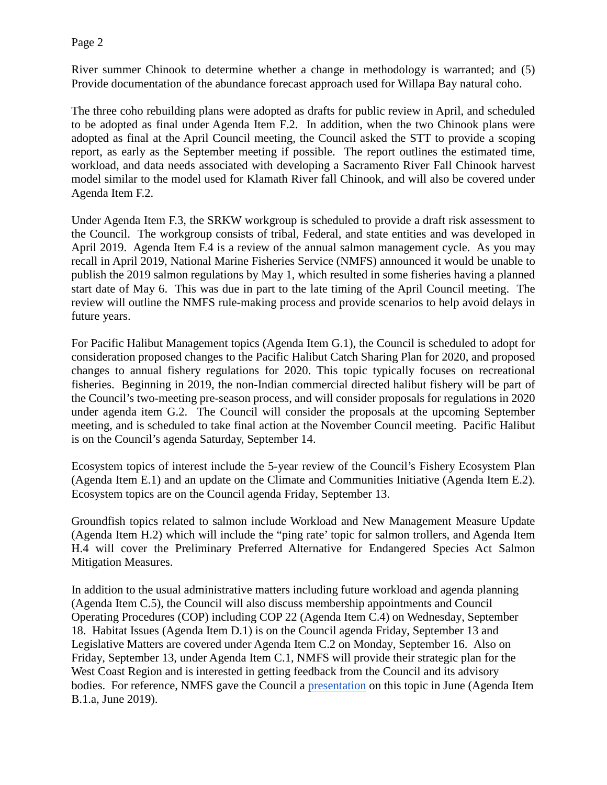River summer Chinook to determine whether a change in methodology is warranted; and (5) Provide documentation of the abundance forecast approach used for Willapa Bay natural coho.

The three coho rebuilding plans were adopted as drafts for public review in April, and scheduled to be adopted as final under Agenda Item F.2. In addition, when the two Chinook plans were adopted as final at the April Council meeting, the Council asked the STT to provide a scoping report, as early as the September meeting if possible. The report outlines the estimated time, workload, and data needs associated with developing a Sacramento River Fall Chinook harvest model similar to the model used for Klamath River fall Chinook, and will also be covered under Agenda Item F.2.

Under Agenda Item F.3, the SRKW workgroup is scheduled to provide a draft risk assessment to the Council. The workgroup consists of tribal, Federal, and state entities and was developed in April 2019. Agenda Item F.4 is a review of the annual salmon management cycle. As you may recall in April 2019, National Marine Fisheries Service (NMFS) announced it would be unable to publish the 2019 salmon regulations by May 1, which resulted in some fisheries having a planned start date of May 6. This was due in part to the late timing of the April Council meeting. The review will outline the NMFS rule-making process and provide scenarios to help avoid delays in future years.

For Pacific Halibut Management topics (Agenda Item G.1), the Council is scheduled to adopt for consideration proposed changes to the Pacific Halibut Catch Sharing Plan for 2020, and proposed changes to annual fishery regulations for 2020. This topic typically focuses on recreational fisheries. Beginning in 2019, the non-Indian commercial directed halibut fishery will be part of the Council's two-meeting pre-season process, and will consider proposals for regulations in 2020 under agenda item G.2. The Council will consider the proposals at the upcoming September meeting, and is scheduled to take final action at the November Council meeting. Pacific Halibut is on the Council's agenda Saturday, September 14.

Ecosystem topics of interest include the 5-year review of the Council's Fishery Ecosystem Plan (Agenda Item E.1) and an update on the Climate and Communities Initiative (Agenda Item E.2). Ecosystem topics are on the Council agenda Friday, September 13.

Groundfish topics related to salmon include Workload and New Management Measure Update (Agenda Item H.2) which will include the "ping rate' topic for salmon trollers, and Agenda Item H.4 will cover the Preliminary Preferred Alternative for Endangered Species Act Salmon Mitigation Measures.

In addition to the usual administrative matters including future workload and agenda planning (Agenda Item C.5), the Council will also discuss membership appointments and Council Operating Procedures (COP) including COP 22 (Agenda Item C.4) on Wednesday, September 18. Habitat Issues (Agenda Item D.1) is on the Council agenda Friday, September 13 and Legislative Matters are covered under Agenda Item C.2 on Monday, September 16. Also on Friday, September 13, under Agenda Item C.1, NMFS will provide their strategic plan for the West Coast Region and is interested in getting feedback from the Council and its advisory bodies. For reference, NMFS gave the Council a [presentation](https://www.pcouncil.org/wp-content/uploads/2019/06/B1a_Sup_NMFS_PPT1_Council-presentation-6.10.2019-330PM_June2019BB.pdf) on this topic in June (Agenda Item B.1.a, June 2019).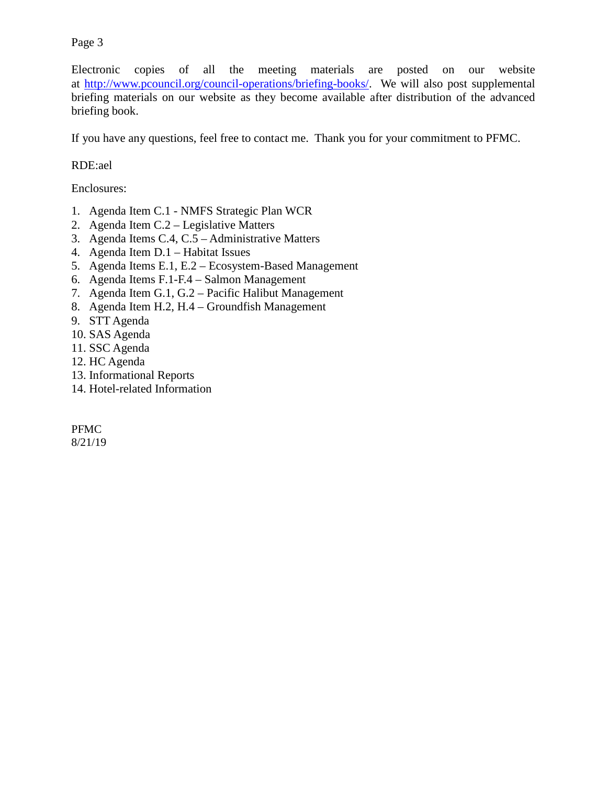Electronic copies of all the meeting materials are posted on our website at [http://www.pcouncil.org/council-operations/briefing-books/.](http://www.pcouncil.org/council-operations/briefing-books/) We will also post supplemental briefing materials on our website as they become available after distribution of the advanced briefing book.

If you have any questions, feel free to contact me. Thank you for your commitment to PFMC.

#### RDE:ael

Enclosures:

- 1. Agenda Item C.1 NMFS Strategic Plan WCR
- 2. Agenda Item C.2 Legislative Matters
- 3. Agenda Items C.4, C.5 Administrative Matters
- 4. Agenda Item D.1 Habitat Issues
- 5. Agenda Items E.1, E.2 Ecosystem-Based Management
- 6. Agenda Items F.1-F.4 Salmon Management
- 7. Agenda Item G.1, G.2 Pacific Halibut Management
- 8. Agenda Item H.2, H.4 Groundfish Management
- 9. STT Agenda
- 10. SAS Agenda
- 11. SSC Agenda
- 12. HC Agenda
- 13. Informational Reports
- 14. Hotel-related Information

PFMC

8/21/19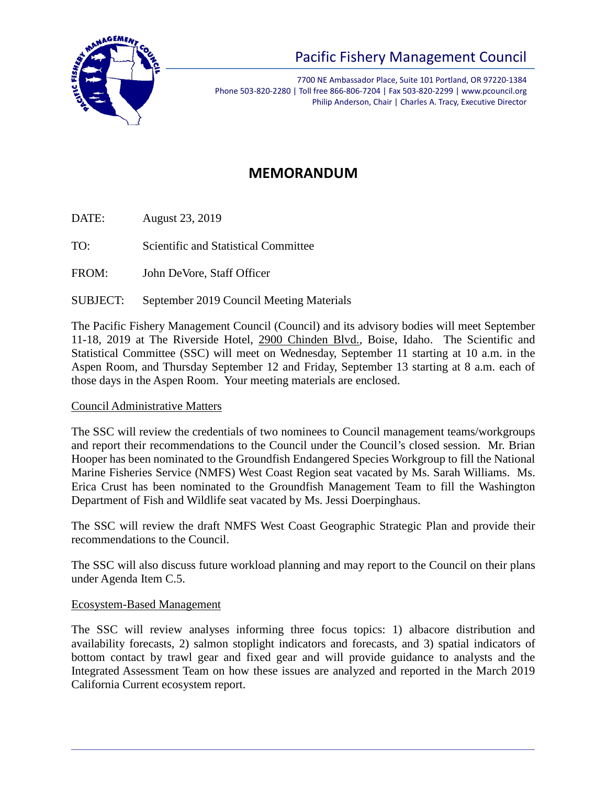

7700 NE Ambassador Place, Suite 101 Portland, OR 97220-1384 Phone 503-820-2280 | Toll free 866-806-7204 | Fax 503-820-2299 | www.pcouncil.org Philip Anderson, Chair | Charles A. Tracy, Executive Director

# **MEMORANDUM**

DATE: August 23, 2019

TO: Scientific and Statistical Committee

FROM: John DeVore, Staff Officer

SUBJECT: September 2019 Council Meeting Materials

The Pacific Fishery Management Council (Council) and its advisory bodies will meet September 11-18, 2019 at The Riverside Hotel, 2900 Chinden Blvd., Boise, Idaho. The Scientific and Statistical Committee (SSC) will meet on Wednesday, September 11 starting at 10 a.m. in the Aspen Room, and Thursday September 12 and Friday, September 13 starting at 8 a.m. each of those days in the Aspen Room. Your meeting materials are enclosed.

## Council Administrative Matters

The SSC will review the credentials of two nominees to Council management teams/workgroups and report their recommendations to the Council under the Council's closed session. Mr. Brian Hooper has been nominated to the Groundfish Endangered Species Workgroup to fill the National Marine Fisheries Service (NMFS) West Coast Region seat vacated by Ms. Sarah Williams. Ms. Erica Crust has been nominated to the Groundfish Management Team to fill the Washington Department of Fish and Wildlife seat vacated by Ms. Jessi Doerpinghaus.

The SSC will review the draft NMFS West Coast Geographic Strategic Plan and provide their recommendations to the Council.

The SSC will also discuss future workload planning and may report to the Council on their plans under Agenda Item C.5.

#### Ecosystem-Based Management

The SSC will review analyses informing three focus topics: 1) albacore distribution and availability forecasts, 2) salmon stoplight indicators and forecasts, and 3) spatial indicators of bottom contact by trawl gear and fixed gear and will provide guidance to analysts and the Integrated Assessment Team on how these issues are analyzed and reported in the March 2019 California Current ecosystem report.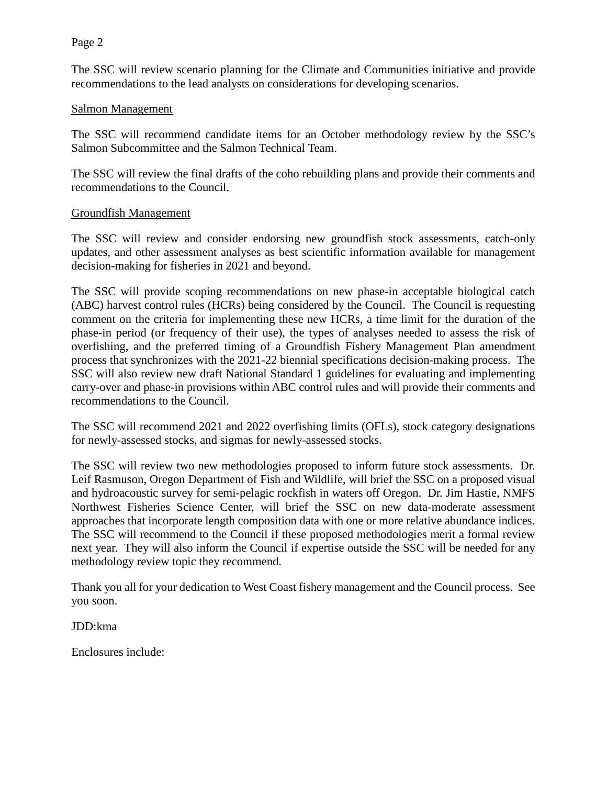The SSC will review scenario planning for the Climate and Communities initiative and provide recommendations to the lead analysts on considerations for developing scenarios.

#### Salmon Management

The SSC will recommend candidate items for an October methodology review by the SSC's Salmon Subcommittee and the Salmon Technical Team.

The SSC will review the final drafts of the coho rebuilding plans and provide their comments and recommendations to the Council.

#### Groundfish Management

The SSC will review and consider endorsing new groundfish stock assessments, catch-only updates, and other assessment analyses as best scientific information available for management decision-making for fisheries in 2021 and beyond.

The SSC will provide scoping recommendations on new phase-in acceptable biological catch (ABC) harvest control rules (HCRs) being considered by the Council. The Council is requesting comment on the criteria for implementing these new HCRs, a time limit for the duration of the phase-in period (or frequency of their use), the types of analyses needed to assess the risk of overfishing, and the preferred timing of a Groundfish Fishery Management Plan amendment process that synchronizes with the 2021-22 biennial specifications decision-making process. The SSC will also review new draft National Standard 1 guidelines for evaluating and implementing carry-over and phase-in provisions within ABC control rules and will provide their comments and recommendations to the Council.

The SSC will recommend 2021 and 2022 overfishing limits (OFLs), stock category designations for newly-assessed stocks, and sigmas for newly-assessed stocks.

The SSC will review two new methodologies proposed to inform future stock assessments. Dr. Leif Rasmuson, Oregon Department of Fish and Wildlife, will brief the SSC on a proposed visual and hydroacoustic survey for semi-pelagic rockfish in waters off Oregon. Dr. Jim Hastie, NMFS Northwest Fisheries Science Center, will brief the SSC on new data-moderate assessment approaches that incorporate length composition data with one or more relative abundance indices. The SSC will recommend to the Council if these proposed methodologies merit a formal review next year. They will also inform the Council if expertise outside the SSC will be needed for any methodology review topic they recommend.

Thank you all for your dedication to West Coast fishery management and the Council process. See you soon.

JDD:kma

Enclosures include: